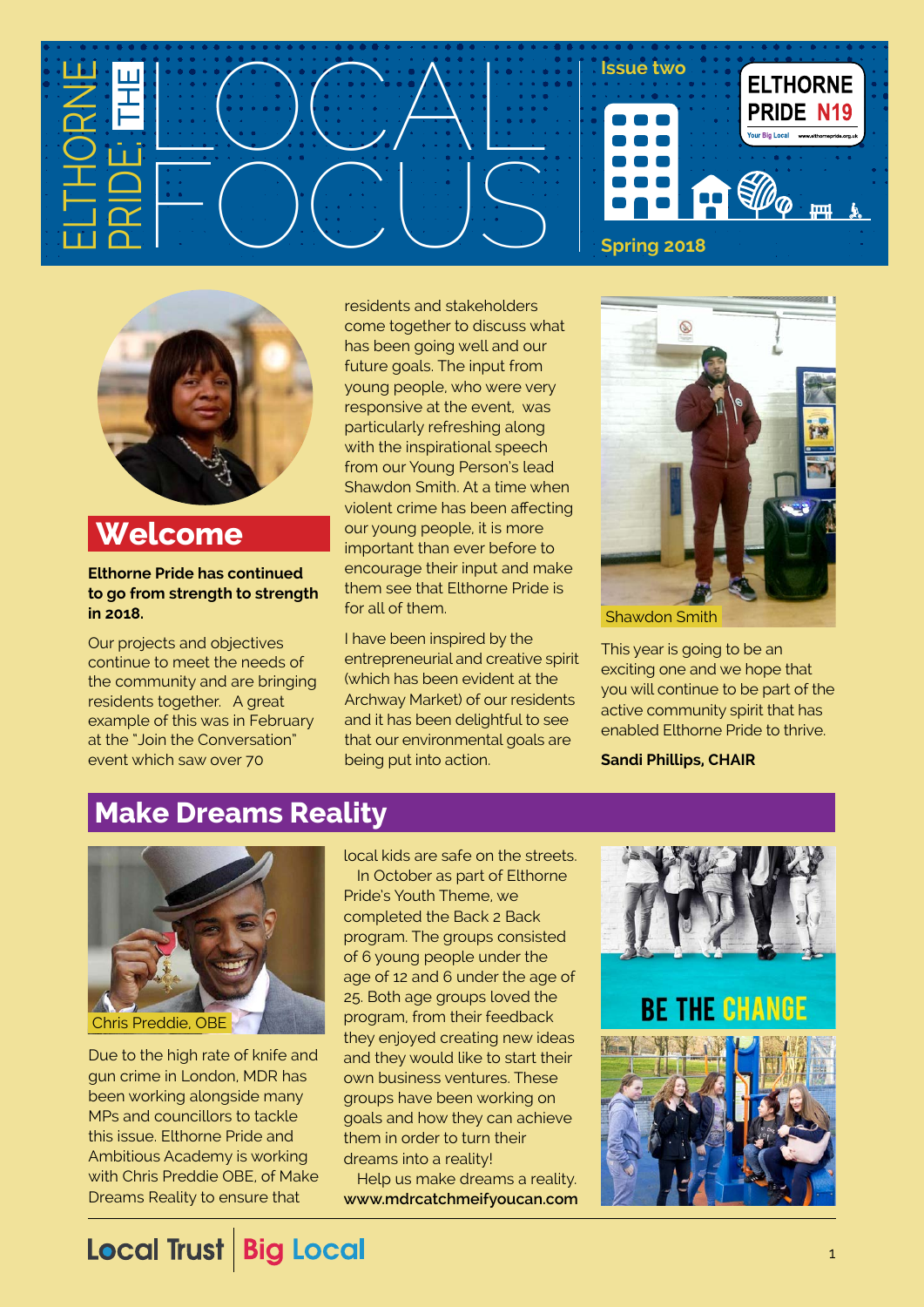



**Welcome**

#### **Elthorne Pride has continued to go from strength to strength in 2018.**

Our projects and objectives continue to meet the needs of the community and are bringing residents together. A great example of this was in February at the "Join the Conversation" event which saw over 70

residents and stakeholders come together to discuss what has been going well and our future goals. The input from young people, who were very responsive at the event, was particularly refreshing along with the inspirational speech from our Young Person's lead Shawdon Smith. At a time when violent crime has been affecting our young people, it is more important than ever before to encourage their input and make them see that Elthorne Pride is for all of them.

I have been inspired by the entrepreneurial and creative spirit (which has been evident at the Archway Market) of our residents and it has been delightful to see that our environmental goals are being put into action.



This year is going to be an exciting one and we hope that you will continue to be part of the active community spirit that has enabled Elthorne Pride to thrive.

**Sandi Phillips, CHAIR**

### **Make Dreams Reality**



Due to the high rate of knife and gun crime in London, MDR has been working alongside many MPs and councillors to tackle this issue. Elthorne Pride and Ambitious Academy is working with Chris Preddie OBE, of Make Dreams Reality to ensure that

local kids are safe on the streets. In October as part of Elthorne Pride's Youth Theme, we completed the Back 2 Back program. The groups consisted of 6 young people under the age of 12 and 6 under the age of 25. Both age groups loved the program, from their feedback they enjoyed creating new ideas and they would like to start their own business ventures. These groups have been working on goals and how they can achieve them in order to turn their dreams into a reality!

Help us make dreams a reality. **[www.mdrcatchmeifyoucan.com](http://www.www.mdrcatchmeifyoucan.com)**

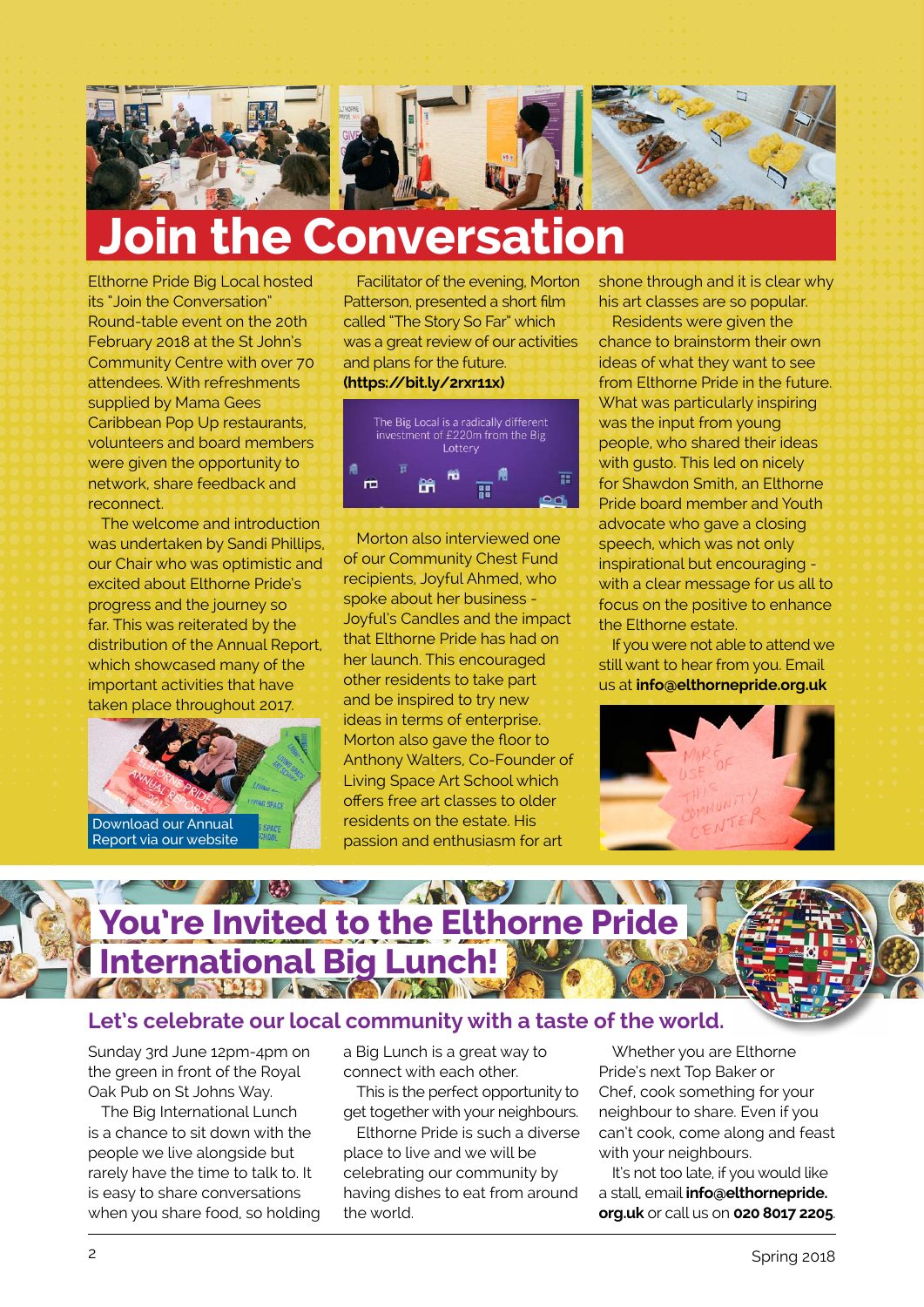

# **Join the Conversation**

Elthorne Pride Big Local hosted its "Join the Conversation" Round-table event on the 20th February 2018 at the St John's Community Centre with over 70 attendees. With refreshments supplied by Mama Gees Caribbean Pop Up restaurants, volunteers and board members were given the opportunity to network, share feedback and reconnect.

The welcome and introduction was undertaken by Sandi Phillips, our Chair who was optimistic and excited about Elthorne Pride's progress and the journey so far. This was reiterated by the distribution of the Annual Report, which showcased many of the important activities that have taken place throughout 2017.



Facilitator of the evening, Morton Patterson, presented a short film called "The Story So Far" which was a great review of our activities and plans for the future. **[\(https://bit.ly/2rxr11x](https://bit.ly/2rxr11x))**



Morton also interviewed one of our Community Chest Fund recipients, Joyful Ahmed, who spoke about her business - Joyful's Candles and the impact that Elthorne Pride has had on her launch. This encouraged other residents to take part and be inspired to try new ideas in terms of enterprise. Morton also gave the floor to Anthony Walters, Co-Founder of Living Space Art School which offers free art classes to older residents on the estate. His passion and enthusiasm for art

shone through and it is clear why his art classes are so popular.

Residents were given the chance to brainstorm their own ideas of what they want to see from Elthorne Pride in the future. What was particularly inspiring was the input from young people, who shared their ideas with gusto. This led on nicely for Shawdon Smith, an Elthorne Pride board member and Youth advocate who gave a closing speech, which was not only inspirational but encouraging with a clear message for us all to focus on the positive to enhance the Elthorne estate.

If you were not able to attend we still want to hear from you. Email us at **[info@elthornepride.org.uk](mailto:info@elthornepride.org.uk)**





#### **Let's celebrate our local community with a taste of the world.**

Sunday 3rd June 12pm-4pm on the green in front of the Royal Oak Pub on St Johns Way.

The Big International Lunch is a chance to sit down with the people we live alongside but rarely have the time to talk to. It is easy to share conversations when you share food, so holding a Big Lunch is a great way to connect with each other.

This is the perfect opportunity to get together with your neighbours.

Elthorne Pride is such a diverse place to live and we will be celebrating our community by having dishes to eat from around the world.

Whether you are Elthorne Pride's next Top Baker or Chef, cook something for your neighbour to share. Even if you can't cook, come along and feast with your neighbours.

It's not too late, if you would like a stall, email **[info@elthornepride.](mailto:info@elthornepride.org.uk) [org.uk](mailto:info@elthornepride.org.uk)** or call us on **020 8017 2205**.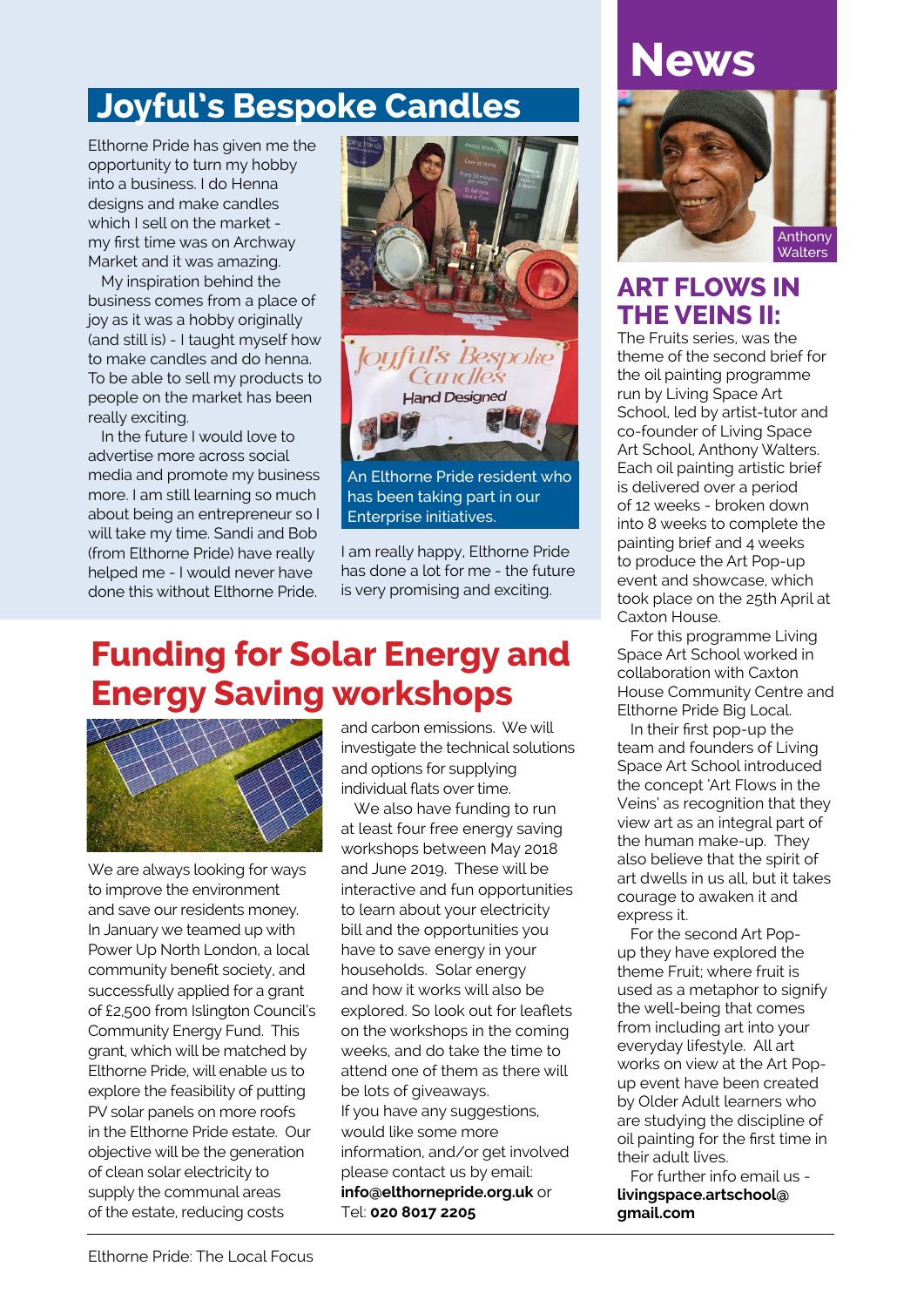## **Joyful's Bespoke Candles**

Elthorne Pride has given me the opportunity to turn my hobby into a business. I do Henna designs and make candles which I sell on the market my first time was on Archway Market and it was amazing.

My inspiration behind the business comes from a place of joy as it was a hobby originally (and still is) - I taught myself how to make candles and do henna. To be able to sell my products to people on the market has been really exciting.

In the future I would love to advertise more across social media and promote my business more. I am still learning so much about being an entrepreneur so I will take my time. Sandi and Bob (from Elthorne Pride) have really helped me - I would never have done this without Elthorne Pride.



An Elthorne Pride resident who has been taking part in our Enterprise initiatives.

I am really happy, Elthorne Pride has done a lot for me - the future is very promising and exciting.

### **Funding for Solar Energy and Energy Saving workshops**



We are always looking for ways to improve the environment and save our residents money. In January we teamed up with Power Up North London, a local community benefit society, and successfully applied for a grant of £2,500 from Islington Council's Community Energy Fund. This grant, which will be matched by Elthorne Pride, will enable us to explore the feasibility of putting PV solar panels on more roofs in the Elthorne Pride estate. Our objective will be the generation of clean solar electricity to supply the communal areas of the estate, reducing costs

and carbon emissions. We will investigate the technical solutions and options for supplying individual flats over time.

We also have funding to run at least four free energy saving workshops between May 2018 and June 2019. These will be interactive and fun opportunities to learn about your electricity bill and the opportunities you have to save energy in your households. Solar energy and how it works will also be explored. So look out for leaflets on the workshops in the coming weeks, and do take the time to attend one of them as there will be lots of giveaways. If you have any suggestions, would like some more information, and/or get involved please contact us by email: **[info@elthornepride.org.uk](mailto:info@elthornepride.org.uk)** or Tel: **020 8017 2205**

# **News**



### **ART FLOWS IN THE VEINS II:**

The Fruits series, was the theme of the second brief for the oil painting programme run by Living Space Art School, led by artist-tutor and co-founder of Living Space Art School, Anthony Walters. Each oil painting artistic brief is delivered over a period of 12 weeks - broken down into 8 weeks to complete the painting brief and 4 weeks to produce the Art Pop-up event and showcase, which took place on the 25th April at Caxton House.

For this programme Living Space Art School worked in collaboration with Caxton House Community Centre and Elthorne Pride Big Local.

In their first pop-up the team and founders of Living Space Art School introduced the concept 'Art Flows in the Veins' as recognition that they view art as an integral part of the human make-up. They also believe that the spirit of art dwells in us all, but it takes courage to awaken it and express it.

For the second Art Popup they have explored the theme Fruit; where fruit is used as a metaphor to signify the well-being that comes from including art into your everyday lifestyle. All art works on view at the Art Popup event have been created by Older Adult learners who are studying the discipline of oil painting for the first time in their adult lives.

For further info email us **[livingspace.artschool@](mailto:livingspace.artschool@
gmail.com) [gmail.com](mailto:livingspace.artschool@
gmail.com)**